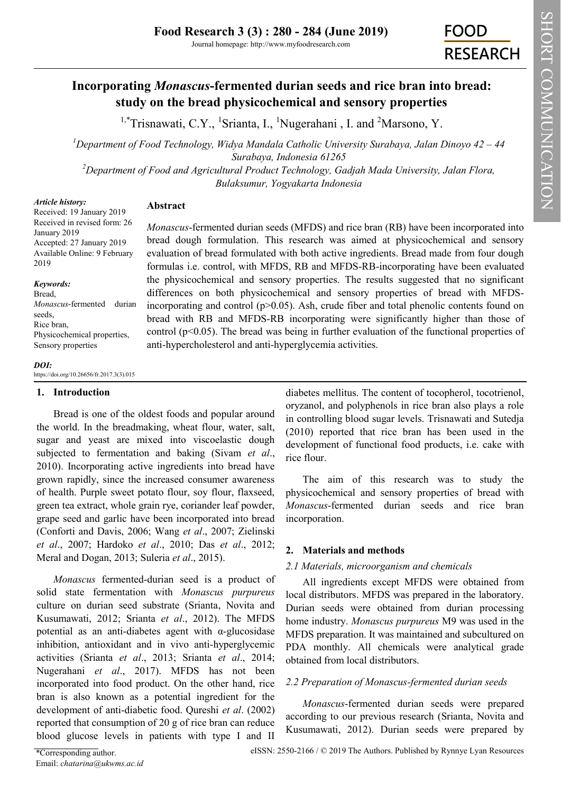# **Incorporating** *Monascus***-fermented durian seeds and rice bran into bread: study on the bread physicochemical and sensory properties**

<sup>1,\*</sup>Trisnawati, C.Y., <sup>1</sup>Srianta, I., <sup>1</sup>Nugerahani, I. and <sup>2</sup>Marsono, Y.

*<sup>1</sup>Department of Food Technology, Widya Mandala Catholic University Surabaya, Jalan Dinoyo 42 – 44 Surabaya, Indonesia 61265*

*<sup>2</sup>Department of Food and Agricultural Product Technology, Gadjah Mada University, Jalan Flora, Bulaksumur, Yogyakarta Indonesia* 

#### *Article history:*

## **Abstract**

Received: 19 January 2019 Received in revised form: 26 January 2019 Accepted: 27 January 2019 Available Online: 9 February 2019

*Keywords:*

Bread, *Monascus*-fermented durian seeds, Rice bran, Physicochemical properties, Sensory properties

*Monascus*-fermented durian seeds (MFDS) and rice bran (RB) have been incorporated into bread dough formulation. This research was aimed at physicochemical and sensory evaluation of bread formulated with both active ingredients. Bread made from four dough formulas i.e. control, with MFDS, RB and MFDS-RB-incorporating have been evaluated the physicochemical and sensory properties. The results suggested that no significant differences on both physicochemical and sensory properties of bread with MFDSincorporating and control ( $p$  $>$ 0.05). Ash, crude fiber and total phenolic contents found on bread with RB and MFDS-RB incorporating were significantly higher than those of control ( $p<0.05$ ). The bread was being in further evaluation of the functional properties of anti-hypercholesterol and anti-hyperglycemia activities.

#### *DOI:* https://doi.org/10.26656/fr.2017.3(3).015

### **1. Introduction**

Bread is one of the oldest foods and popular around the world. In the breadmaking, wheat flour, water, salt, sugar and yeast are mixed into viscoelastic dough subjected to fermentation and baking (Sivam *et al*., 2010). Incorporating active ingredients into bread have grown rapidly, since the increased consumer awareness of health. Purple sweet potato flour, soy flour, flaxseed, green tea extract, whole grain rye, coriander leaf powder, grape seed and garlic have been incorporated into bread (Conforti and Davis, 2006; Wang *et al*., 2007; Zielinski *et al*., 2007; Hardoko *et al*., 2010; Das *et al*., 2012; Meral and Dogan, 2013; Suleria *et al*., 2015).

*Monascus* fermented-durian seed is a product of solid state fermentation with *Monascus purpureus* culture on durian seed substrate (Srianta, Novita and Kusumawati, 2012; Srianta *et al*., 2012). The MFDS potential as an anti-diabetes agent with α-glucosidase inhibition, antioxidant and in vivo anti-hyperglycemic activities (Srianta *et al*., 2013; Srianta *et al*., 2014; Nugerahani *et al*., 2017). MFDS has not been incorporated into food product. On the other hand, rice bran is also known as a potential ingredient for the development of anti-diabetic food. Qureshi *et al*. (2002) reported that consumption of 20 g of rice bran can reduce blood glucose levels in patients with type I and II

diabetes mellitus. The content of tocopherol, tocotrienol, oryzanol, and polyphenols in rice bran also plays a role in controlling blood sugar levels. Trisnawati and Sutedja (2010) reported that rice bran has been used in the development of functional food products, i.e. cake with rice flour.

The aim of this research was to study the physicochemical and sensory properties of bread with *Monascus*-fermented durian seeds and rice bran incorporation.

## **2. Materials and methods**

## *2.1 Materials, microorganism and chemicals*

All ingredients except MFDS were obtained from local distributors. MFDS was prepared in the laboratory. Durian seeds were obtained from durian processing home industry. *Monascus purpureus* M9 was used in the MFDS preparation. It was maintained and subcultured on PDA monthly. All chemicals were analytical grade obtained from local distributors.

## *2.2 Preparation of Monascus-fermented durian seeds*

*Monascus*-fermented durian seeds were prepared according to our previous research (Srianta, Novita and Kusumawati, 2012). Durian seeds were prepared by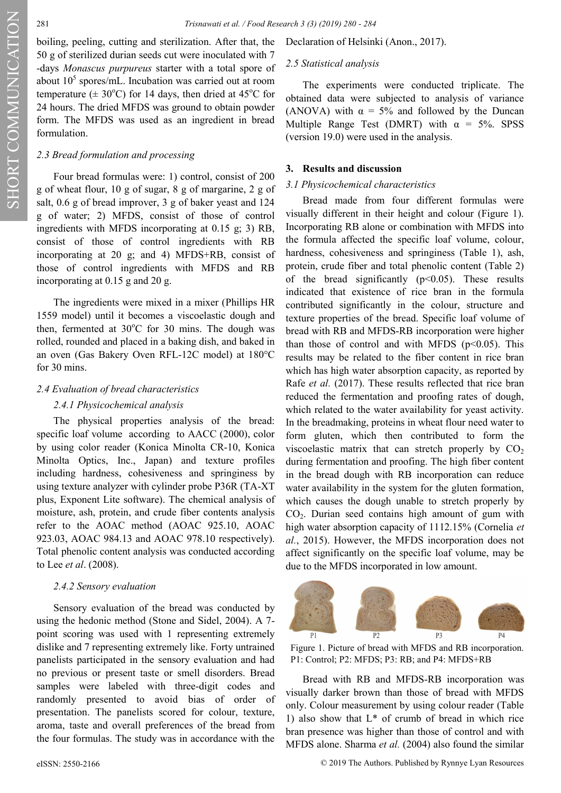SHORT COMMUNICATION

SHORT COMMUNICATION

boiling, peeling, cutting and sterilization. After that, the 50 g of sterilized durian seeds cut were inoculated with 7 -days *Monascus purpureus* starter with a total spore of about  $10<sup>5</sup>$  spores/mL. Incubation was carried out at room temperature ( $\pm$  30°C) for 14 days, then dried at 45°C for 24 hours. The dried MFDS was ground to obtain powder form. The MFDS was used as an ingredient in bread formulation.

#### *2.3 Bread formulation and processing*

Four bread formulas were: 1) control, consist of 200 g of wheat flour, 10 g of sugar, 8 g of margarine, 2 g of salt, 0.6 g of bread improver, 3 g of baker yeast and 124 g of water; 2) MFDS, consist of those of control ingredients with MFDS incorporating at 0.15 g; 3) RB, consist of those of control ingredients with RB incorporating at 20 g; and 4) MFDS+RB, consist of those of control ingredients with MFDS and RB incorporating at 0.15 g and 20 g.

The ingredients were mixed in a mixer (Phillips HR 1559 model) until it becomes a viscoelastic dough and then, fermented at  $30^{\circ}$ C for 30 mins. The dough was rolled, rounded and placed in a baking dish, and baked in an oven (Gas Bakery Oven RFL-12C model) at 180°C for 30 mins.

#### *2.4 Evaluation of bread characteristics*

#### *2.4.1 Physicochemical analysis*

The physical properties analysis of the bread: specific loaf volume according to AACC (2000), color by using color reader (Konica Minolta CR-10, Konica Minolta Optics, Inc., Japan) and texture profiles including hardness, cohesiveness and springiness by using texture analyzer with cylinder probe P36R (TA-XT plus, Exponent Lite software). The chemical analysis of moisture, ash, protein, and crude fiber contents analysis refer to the AOAC method (AOAC 925.10, AOAC 923.03, AOAC 984.13 and AOAC 978.10 respectively). Total phenolic content analysis was conducted according to Lee *et al*. (2008).

#### *2.4.2 Sensory evaluation*

Sensory evaluation of the bread was conducted by using the hedonic method (Stone and Sidel, 2004). A 7 point scoring was used with 1 representing extremely dislike and 7 representing extremely like. Forty untrained panelists participated in the sensory evaluation and had no previous or present taste or smell disorders. Bread samples were labeled with three-digit codes and randomly presented to avoid bias of order of presentation. The panelists scored for colour, texture, aroma, taste and overall preferences of the bread from the four formulas. The study was in accordance with the

Declaration of Helsinki (Anon., 2017).

#### *2.5 Statistical analysis*

The experiments were conducted triplicate. The obtained data were subjected to analysis of variance (ANOVA) with  $\alpha = 5\%$  and followed by the Duncan Multiple Range Test (DMRT) with  $\alpha = 5\%$ . SPSS (version 19.0) were used in the analysis.

#### **3. Results and discussion**

#### *3.1 Physicochemical characteristics*

Bread made from four different formulas were visually different in their height and colour (Figure 1). Incorporating RB alone or combination with MFDS into the formula affected the specific loaf volume, colour, hardness, cohesiveness and springiness (Table 1), ash, protein, crude fiber and total phenolic content (Table 2) of the bread significantly  $(p<0.05)$ . These results indicated that existence of rice bran in the formula contributed significantly in the colour, structure and texture properties of the bread. Specific loaf volume of bread with RB and MFDS-RB incorporation were higher than those of control and with MFDS ( $p<0.05$ ). This results may be related to the fiber content in rice bran which has high water absorption capacity, as reported by Rafe *et al.* (2017). These results reflected that rice bran reduced the fermentation and proofing rates of dough, which related to the water availability for yeast activity. In the breadmaking, proteins in wheat flour need water to form gluten, which then contributed to form the viscoelastic matrix that can stretch properly by  $CO<sub>2</sub>$ during fermentation and proofing. The high fiber content in the bread dough with RB incorporation can reduce water availability in the system for the gluten formation, which causes the dough unable to stretch properly by CO2. Durian seed contains high amount of gum with high water absorption capacity of 1112.15% (Cornelia *et al.*, 2015). However, the MFDS incorporation does not affect significantly on the specific loaf volume, may be due to the MFDS incorporated in low amount.



Figure 1. Picture of bread with MFDS and RB incorporation. P1: Control; P2: MFDS; P3: RB; and P4: MFDS+RB

Bread with RB and MFDS-RB incorporation was visually darker brown than those of bread with MFDS only. Colour measurement by using colour reader (Table 1) also show that  $L^*$  of crumb of bread in which rice bran presence was higher than those of control and with MFDS alone. Sharma *et al.* (2004) also found the similar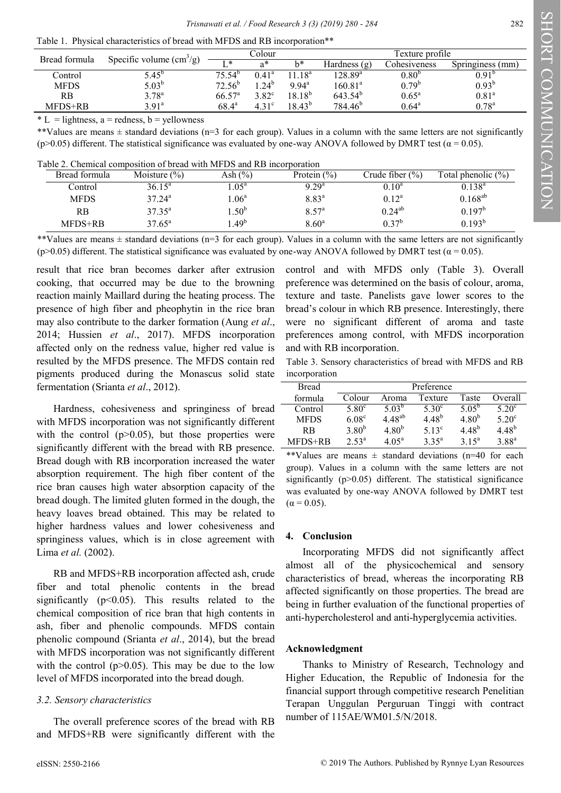| Bread formula | Specific volume $\text{(cm}^3/\text{g})$ | Colour          |                   |                | Texture profile     |                   |                   |
|---------------|------------------------------------------|-----------------|-------------------|----------------|---------------------|-------------------|-------------------|
|               |                                          | $T *$           | a*                | b*             | Hardness (g)        | Cohesiveness      | Springiness (mm)  |
| Control       | $5.45^{\circ}$                           | $75.54^b$       | $0.41^{\circ}$    | $1.18^{a}$     | $128.89^{\circ}$    | 0.80 <sup>b</sup> | $0.91^{b}$        |
| <b>MFDS</b>   | $5.03^{\rm b}$                           | $72.56^{\circ}$ | .24 <sup>b</sup>  | $9.94^{\circ}$ | $160.81^{\circ}$    | $0.79^{b}$        | $0.93^{b}$        |
| RB            | $3.78^{a}$                               | $66.57^{\circ}$ | $3.82^{\circ}$    | $18.18^{b}$    | $643.54^b$          | $0.65^{\rm a}$    | 0.81 <sup>a</sup> |
| MFDS+RB       | 3.91 <sup>a</sup>                        | $68.4^{\circ}$  | 4.31 <sup>c</sup> | $18.43^{b}$    | 784.46 <sup>b</sup> | $0.64^{\rm a}$    | $0.78^{a}$        |

 $* L =$  lightness, a = redness, b = vellowness

\*\*Values are means  $\pm$  standard deviations (n=3 for each group). Values in a column with the same letters are not significantly (p>0.05) different. The statistical significance was evaluated by one-way ANOVA followed by DMRT test ( $\alpha$  = 0.05).

| Table 2. Chemical composition of bread with MFDS and RB incorporation |  |  |  |  |  |
|-----------------------------------------------------------------------|--|--|--|--|--|
|-----------------------------------------------------------------------|--|--|--|--|--|

| Bread formula | Moisture $(\% )$ | Ash $(\%)$       | Protein $(\% )$   | Crude fiber $(\%)$ | Total phenolic $(\% )$ |
|---------------|------------------|------------------|-------------------|--------------------|------------------------|
| Control       | $36.15^{\circ}$  | .05 <sup>a</sup> | $9.29^{a}$        | $0.10^{\rm a}$     | $0.138^{a}$            |
| <b>MFDS</b>   | $37.24^{\circ}$  | .06 <sup>a</sup> | 8.83 <sup>a</sup> | $0.12^a$           | $0.168^{ab}$           |
| <b>RB</b>     | $37.35^{\circ}$  | .50 <sup>b</sup> | $8.57^{\circ}$    | $0.24^{ab}$        | $0.197^{\rm b}$        |
| MFDS+RB       | $37.65^{\circ}$  | $.49^{b}$        | 8.60 <sup>a</sup> | $0.37^{\rm b}$     | $0.193^{b}$            |

\*\*Values are means  $\pm$  standard deviations (n=3 for each group). Values in a column with the same letters are not significantly (p>0.05) different. The statistical significance was evaluated by one-way ANOVA followed by DMRT test ( $\alpha$  = 0.05).

result that rice bran becomes darker after extrusion cooking, that occurred may be due to the browning reaction mainly Maillard during the heating process. The presence of high fiber and pheophytin in the rice bran may also contribute to the darker formation (Aung *et al*., 2014; Hussien *et al*., 2017). MFDS incorporation affected only on the redness value, higher red value is resulted by the MFDS presence. The MFDS contain red pigments produced during the Monascus solid state fermentation (Srianta *et al*., 2012).

Hardness, cohesiveness and springiness of bread with MFDS incorporation was not significantly different with the control  $(p>0.05)$ , but those properties were significantly different with the bread with RB presence. Bread dough with RB incorporation increased the water absorption requirement. The high fiber content of the rice bran causes high water absorption capacity of the bread dough. The limited gluten formed in the dough, the heavy loaves bread obtained. This may be related to higher hardness values and lower cohesiveness and springiness values, which is in close agreement with Lima *et al.* (2002).

RB and MFDS+RB incorporation affected ash, crude fiber and total phenolic contents in the bread significantly ( $p<0.05$ ). This results related to the chemical composition of rice bran that high contents in ash, fiber and phenolic compounds. MFDS contain phenolic compound (Srianta *et al*., 2014), but the bread with MFDS incorporation was not significantly different with the control  $(p>0.05)$ . This may be due to the low level of MFDS incorporated into the bread dough.

### *3.2. Sensory characteristics*

The overall preference scores of the bread with RB and MFDS+RB were significantly different with the

control and with MFDS only (Table 3). Overall preference was determined on the basis of colour, aroma, texture and taste. Panelists gave lower scores to the bread's colour in which RB presence. Interestingly, there were no significant different of aroma and taste preferences among control, with MFDS incorporation and with RB incorporation.

Table 3. Sensory characteristics of bread with MFDS and RB incorporation

| Bread       | Preference        |                   |                   |                 |                   |  |
|-------------|-------------------|-------------------|-------------------|-----------------|-------------------|--|
| formula     | Colour            | Aroma             | Texture           | Taste           | Overall           |  |
| Control     | $5.80^{\circ}$    | 5.03 <sup>b</sup> | $5.30^\circ$      | $5.05^{b}$      | $5.20^{\circ}$    |  |
| <b>MFDS</b> | 6.08 <sup>c</sup> | $4.48^{ab}$       | $4.48^{b}$        | $4.80^{b}$      | $5.20^{\circ}$    |  |
| <b>RB</b>   | $3.80^{b}$        | 4.80 <sup>b</sup> | $5.13^{\circ}$    | $4.48^{b}$      | $4.48^{b}$        |  |
| MFDS+RB     | 2.53 <sup>a</sup> | 4.05 <sup>a</sup> | 3.35 <sup>a</sup> | 3 1 $5^{\rm a}$ | 3.88 <sup>a</sup> |  |

\*\*Values are means  $\pm$  standard deviations (n=40 for each group). Values in a column with the same letters are not significantly  $(p>0.05)$  different. The statistical significance was evaluated by one-way ANOVA followed by DMRT test  $(\alpha = 0.05)$ .

### **4. Conclusion**

Incorporating MFDS did not significantly affect almost all of the physicochemical and sensory characteristics of bread, whereas the incorporating RB affected significantly on those properties. The bread are being in further evaluation of the functional properties of anti-hypercholesterol and anti-hyperglycemia activities.

### **Acknowledgment**

Thanks to Ministry of Research, Technology and Higher Education, the Republic of Indonesia for the financial support through competitive research Penelitian Terapan Unggulan Perguruan Tinggi with contract number of 115AE/WM01.5/N/2018.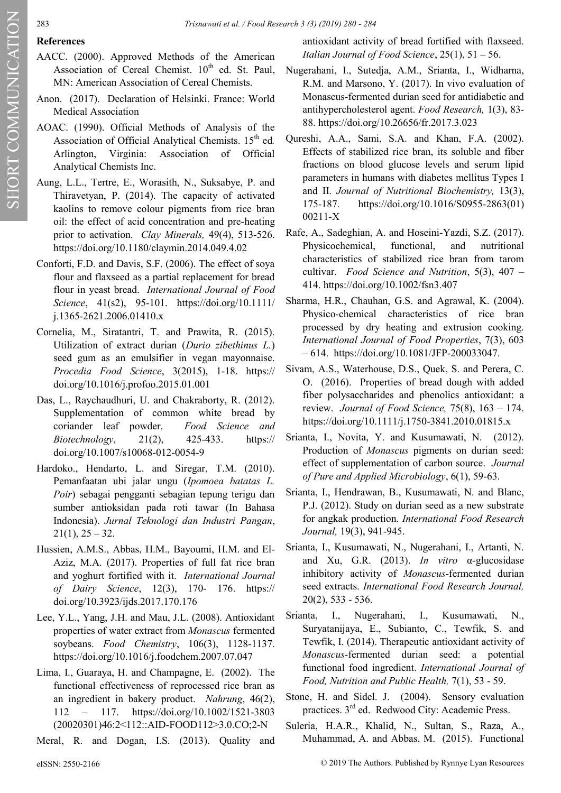00211-X

## **References**

- AACC. (2000). Approved Methods of the American Association of Cereal Chemist.  $10^{th}$  ed. St. Paul, MN: American Association of Cereal Chemists.
- Anon. (2017). Declaration of Helsinki. France: World Medical Association
- AOAC. (1990). Official Methods of Analysis of the Association of Official Analytical Chemists. 15<sup>th</sup> ed. Arlington, Virginia: Association of Official Analytical Chemists Inc.
- Aung, L.L., Tertre, E., Worasith, N., Suksabye, P. and Thiravetyan, P. (2014). The capacity of activated kaolins to remove colour pigments from rice bran oil: the effect of acid concentration and pre-heating prior to activation. *Clay Minerals,* 49(4), 513-526. https://doi.org/10.1180/claymin.2014.049.4.02
- Conforti, F.D. and Davis, S.F. (2006). The effect of soya flour and flaxseed as a partial replacement for bread flour in yeast bread. *International Journal of Food Science*, 41(s2), 95-101. https://doi.org/10.1111/ j.1365-2621.2006.01410.x
- Cornelia, M., Siratantri, T. and Prawita, R. (2015). Utilization of extract durian (*Durio zibethinus L.*) seed gum as an emulsifier in vegan mayonnaise. *Procedia Food Science*, 3(2015), 1-18. https:// doi.org/10.1016/j.profoo.2015.01.001
- Das, L., Raychaudhuri, U. and Chakraborty, R. (2012). Supplementation of common white bread by coriander leaf powder. *Food Science and Biotechnology*, 21(2), 425-433. https:// doi.org/10.1007/s10068-012-0054-9
- Hardoko., Hendarto, L. and Siregar, T.M. (2010). Pemanfaatan ubi jalar ungu (*Ipomoea batatas L. Poir*) sebagai pengganti sebagian tepung terigu dan sumber antioksidan pada roti tawar (In Bahasa Indonesia). *Jurnal Teknologi dan Industri Pangan*,  $21(1), 25 - 32.$
- Hussien, A.M.S., Abbas, H.M., Bayoumi, H.M. and El-Aziz, M.A. (2017). Properties of full fat rice bran and yoghurt fortified with it. *International Journal of Dairy Science*, 12(3), 170- 176. https:// doi.org/10.3923/ijds.2017.170.176
- Lee, Y.L., Yang, J.H. and Mau, J.L. (2008). Antioxidant properties of water extract from *Monascus* fermented soybeans. *Food Chemistry*, 106(3), 1128-1137. https://doi.org/10.1016/j.foodchem.2007.07.047
- Lima, I., Guaraya, H. and Champagne, E. (2002). The functional effectiveness of reprocessed rice bran as an ingredient in bakery product. *Nahrung*, 46(2), 112 – 117. https://doi.org/10.1002/1521-3803 (20020301)46:2<112::AID-FOOD112>3.0.CO;2-N

Meral, R. and Dogan, I.S. (2013). Quality and

– 614. [https://doi.org/10.1081/JFP](https://doi.org/10.1081/JFP-200033047)-200033047.

Sivam, A.S., Waterhouse, D.S., Quek, S. and Perera, C. O. (2016). Properties of bread dough with added fiber polysaccharides and phenolics antioxidant: a review. *Journal of Food Science,* 75(8), 163 – 174. https://doi.org/10.1111/j.1750-3841.2010.01815.x

antioxidant activity of bread fortified with flaxseed. *Italian Journal of Food Science*, 25(1), 51 – 56. Nugerahani, I., Sutedja, A.M., Srianta, I., Widharna, R.M. and Marsono, Y. (2017). In vivo evaluation of Monascus-fermented durian seed for antidiabetic and antihypercholesterol agent. *Food Research,* 1(3), 83-

88. https://doi.org/10.26656/fr.2017.3.023

Qureshi, A.A., Sami, S.A. and Khan, F.A. (2002). Effects of stabilized rice bran, its soluble and fiber fractions on blood glucose levels and serum lipid parameters in humans with diabetes mellitus Types I and II. *Journal of Nutritional Biochemistry,* 13(3), 175-187. https://doi.org/10.1016/S0955-2863(01)

Rafe, A., Sadeghian, A. and Hoseini-Yazdi, S.Z. (2017). Physicochemical, functional, and nutritional characteristics of stabilized rice bran from tarom cultivar. *Food Science and Nutrition*, 5(3), 407 –

Sharma, H.R., Chauhan, G.S. and Agrawal, K. (2004). Physico-chemical characteristics of rice bran processed by dry heating and extrusion cooking. *International Journal of Food Properties*, 7(3), 603

414. https://doi.org/10.1002/fsn3.407

- Srianta, I., Novita, Y. and Kusumawati, N. (2012). Production of *Monascus* pigments on durian seed: effect of supplementation of carbon source. *Journal of Pure and Applied Microbiology*, 6(1), 59-63.
- Srianta, I., Hendrawan, B., Kusumawati, N. and Blanc, P.J. (2012). Study on durian seed as a new substrate for angkak production. *International Food Research Journal,* 19(3), 941-945.
- Srianta, I., Kusumawati, N., Nugerahani, I., Artanti, N. and Xu, G.R. (2013). *In vitro* α-glucosidase inhibitory activity of *Monascus*-fermented durian seed extracts. *International Food Research Journal,*  20(2), 533 - 536.
- Srianta, I., Nugerahani, I., Kusumawati, N., Suryatanijaya, E., Subianto, C., Tewfik, S. and Tewfik, I. (2014). Therapeutic antioxidant activity of *Monascus*-fermented durian seed: a potential functional food ingredient. *International Journal of Food, Nutrition and Public Health,* 7(1), 53 - 59.
- Stone, H. and Sidel. J. (2004). Sensory evaluation practices. 3rd ed. Redwood City: Academic Press.
- Suleria, H.A.R., Khalid, N., Sultan, S., Raza, A., Muhammad, A. and Abbas, M. (2015). Functional